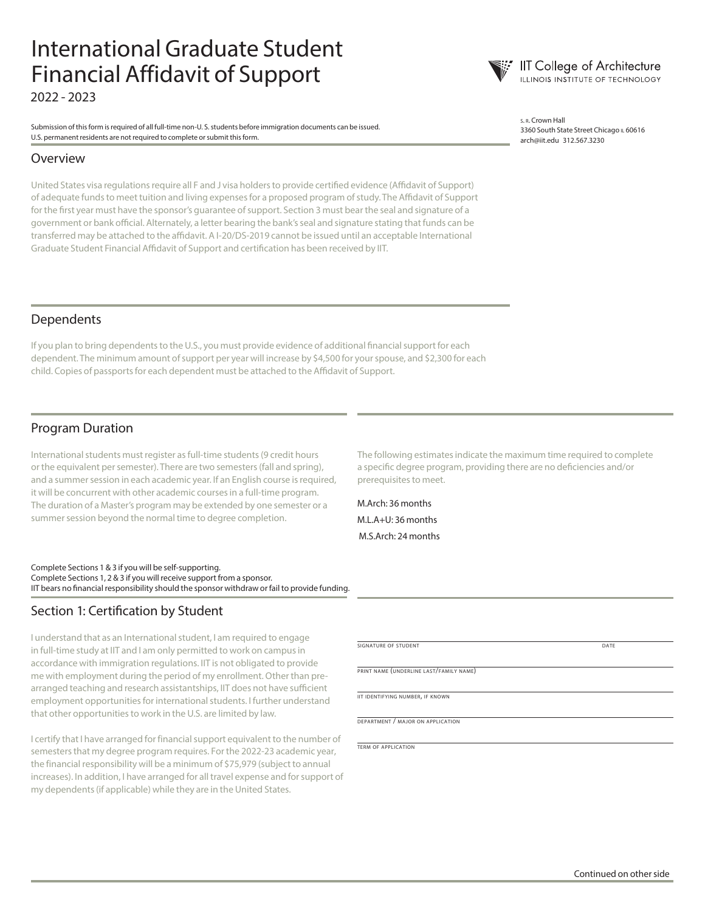## International Graduate Student Financial Affidavit of Support 2022 - 2023

Submission of this form is required of all full-time non-U. S. students before immigration documents can be issued. U.S. permanent residents are not required to complete or submit this form.

#### Overview

United States visa regulations require all F and J visa holders to provide certified evidence (Affidavit of Support) of adequate funds to meet tuition and living expenses for a proposed program of study. The Affidavit of Support for the first year must have the sponsor's guarantee of support. Section 3 must bear the seal and signature of a government or bank official. Alternately, a letter bearing the bank's seal and signature stating that funds can be transferred may be attached to the affidavit. A I-20/DS-2019 cannot be issued until an acceptable International Graduate Student Financial Affidavit of Support and certification has been received by IIT.

<sup>s</sup>. r. Crown Hall 3360 South State Street Chicago IL 60616 arch@iit.edu 312.567.3230

**IIT College of Architecture ILLINOIS INSTITUTE OF TECHNOLOGY** 

#### Dependents

If you plan to bring dependents to the U.S., you must provide evidence of additional financial support for each dependent. The minimum amount of support per year will increase by \$4,500 for your spouse, and \$2,300 for each child. Copies of passports for each dependent must be attached to the Affidavit of Support.

#### Program Duration

International students must register as full-time students (9 credit hours or the equivalent per semester). There are two semesters (fall and spring), and a summer session in each academic year. If an English course is required, it will be concurrent with other academic courses in a full-time program. The duration of a Master's program may be extended by one semester or a summer session beyond the normal time to degree completion.

Complete Sections 1 & 3 if you will be self-supporting. Complete Sections 1, 2 & 3 if you will receive support from a sponsor. IIT bears no financial responsibility should the sponsor withdraw or fail to provide funding.

#### Section 1: Certification by Student

I understand that as an International student, I am required to engage in full-time study at IIT and I am only permitted to work on campus in accordance with immigration regulations. IIT is not obligated to provide me with employment during the period of my enrollment. Other than prearranged teaching and research assistantships, IIT does not have sufficient employment opportunities for international students. I further understand that other opportunities to work in the U.S. are limited by law.

I certify that I have arranged for financial support equivalent to the number of semesters that my degree program requires. For the 2022-23 academic year, the financial responsibility will be a minimum of \$75,979 (subject to annual increases). In addition, I have arranged for all travel expense and for support of my dependents (if applicable) while they are in the United States.

The following estimates indicate the maximum time required to complete a specific degree program, providing there are no deficiencies and/or prerequisites to meet.

M.Arch: 36 months M.L.A+U: 36 months M.S.Arch: 24 months

signature of student date and date and date and date and date and date and date and date and date and date and date

print name (underline last/family name)

iit identifying number, if known

department / major on application

term of application